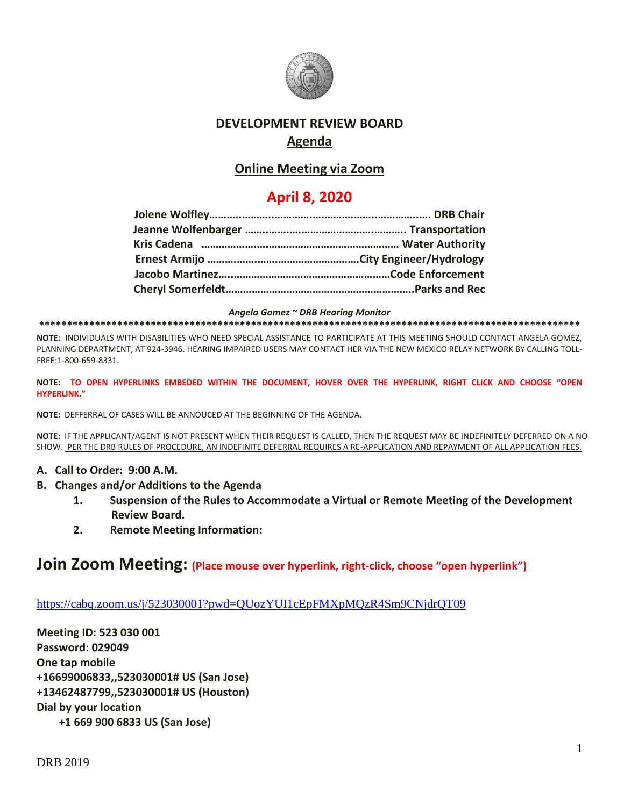

## **DEVELOPMENT REVIEW BOARD Agenda**

## **Online Meeting via Zoom**

## **April 8, 2020**

*Angela Gomez ~ DRB Hearing Monitor*

**\*\*\*\*\*\*\*\*\*\*\*\*\*\*\*\*\*\*\*\*\*\*\*\*\*\*\*\*\*\*\*\*\*\*\*\*\*\*\*\*\*\*\*\*\*\*\*\*\*\*\*\*\*\*\*\*\*\*\*\*\*\*\*\*\*\*\*\*\*\*\*\*\*\*\*\*\*\*\*\*\*\*\*\*\*\*\*\*\*\*\*\*\*\*\*\*\***

**NOTE:** INDIVIDUALS WITH DISABILITIES WHO NEED SPECIAL ASSISTANCE TO PARTICIPATE AT THIS MEETING SHOULD CONTACT ANGELA GOMEZ, PLANNING DEPARTMENT, AT 924-3946. HEARING IMPAIRED USERS MAY CONTACT HER VIA THE NEW MEXICO RELAY NETWORK BY CALLING TOLL-FREE:1-800-659-8331.

**NOTE: TO OPEN HYPERLINKS EMBEDED WITHIN THE DOCUMENT, HOVER OVER THE HYPERLINK, RIGHT CLICK AND CHOOSE "OPEN HYPERLINK."**

**NOTE:** DEFFERRAL OF CASES WILL BE ANNOUCED AT THE BEGINNING OF THE AGENDA.

**NOTE:** IF THE APPLICANT/AGENT IS NOT PRESENT WHEN THEIR REQUEST IS CALLED, THEN THE REQUEST MAY BE INDEFINITELY DEFERRED ON A NO SHOW. PER THE DRB RULES OF PROCEDURE, AN INDEFINITE DEFERRAL REQUIRES A RE-APPLICATION AND REPAYMENT OF ALL APPLICATION FEES.

- **A. Call to Order: 9:00 A.M.**
- **B. Changes and/or Additions to the Agenda**
	- **1. Suspension of the Rules to Accommodate a Virtual or Remote Meeting of the Development Review Board.**
	- **2. Remote Meeting Information:**

# **Join Zoom Meeting: (Place mouse over hyperlink, right-click, choose "open hyperlink")**

<https://cabq.zoom.us/j/523030001?pwd=QUozYUI1cEpFMXpMQzR4Sm9CNjdrQT09>

**Meeting ID: 523 030 001 Password: 029049 One tap mobile +16699006833,,523030001# US (San Jose) +13462487799,,523030001# US (Houston) Dial by your location +1 669 900 6833 US (San Jose)**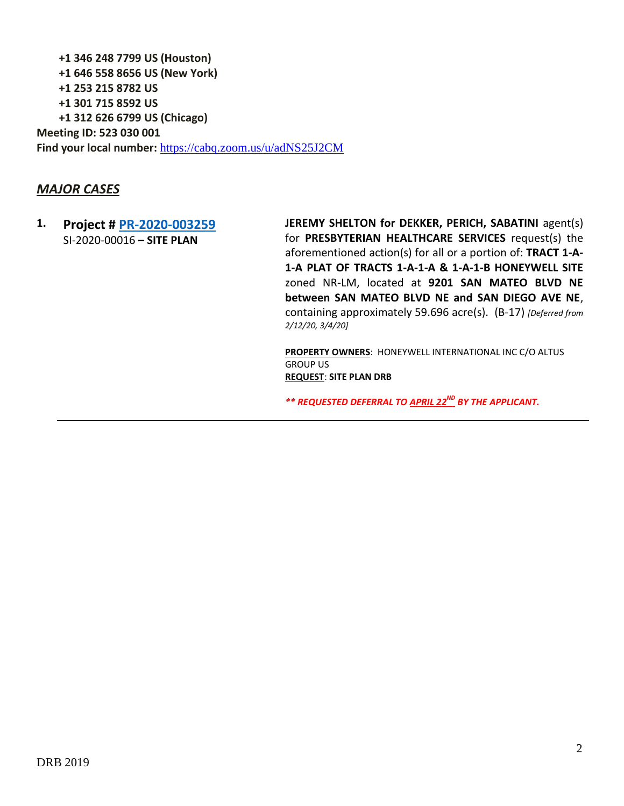**+1 346 248 7799 US (Houston) +1 646 558 8656 US (New York) +1 253 215 8782 US +1 301 715 8592 US +1 312 626 6799 US (Chicago) Meeting ID: 523 030 001 Find your local number:** <https://cabq.zoom.us/u/adNS25J2CM>

### *MAJOR CASES*

**1. Project # [PR-2020-003259](http://data.cabq.gov/government/planning/DRB/PR-2020-003259/DRB%20Submittals/PR-2020-003259_Feb_12_2020/Application/)** SI-2020-00016 **– SITE PLAN**

**JEREMY SHELTON for DEKKER, PERICH, SABATINI** agent(s) for **PRESBYTERIAN HEALTHCARE SERVICES** request(s) the aforementioned action(s) for all or a portion of: **TRACT 1-A-1-A PLAT OF TRACTS 1-A-1-A & 1-A-1-B HONEYWELL SITE** zoned NR-LM, located at **9201 SAN MATEO BLVD NE between SAN MATEO BLVD NE and SAN DIEGO AVE NE**, containing approximately 59.696 acre(s). (B-17) *[Deferred from 2/12/20, 3/4/20]*

**PROPERTY OWNERS**: HONEYWELL INTERNATIONAL INC C/O ALTUS GROUP US **REQUEST**: **SITE PLAN DRB**

*\*\* REQUESTED DEFERRAL TO APRIL 22ND BY THE APPLICANT.*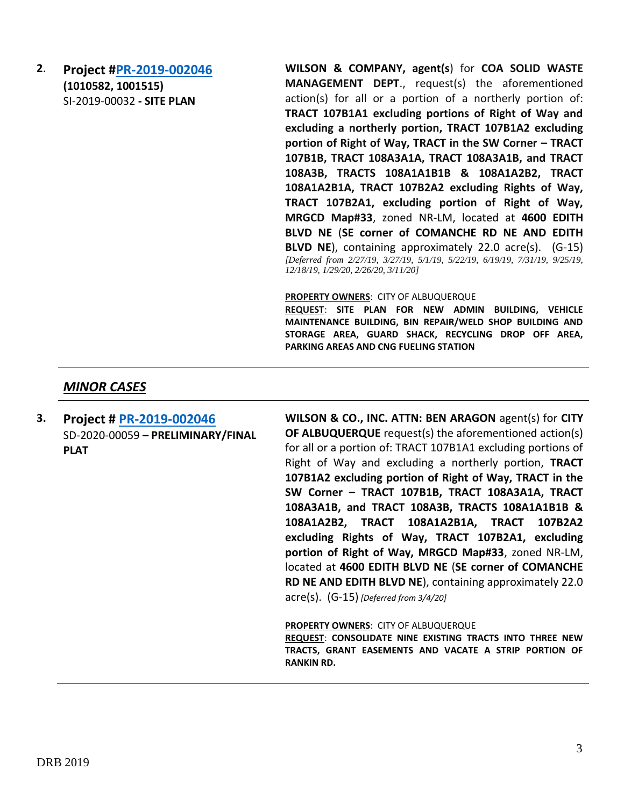**2**. **Project [#PR-2019-002046](http://data.cabq.gov/government/planning/DRB/PR-2019-002046/DRB%20Submittals/PR-2019-002046_Dec_18_Supplemental/) (1010582, 1001515)** SI-2019-00032 **- SITE PLAN** 

**WILSON & COMPANY, agent(s**) for **COA SOLID WASTE MANAGEMENT DEPT**., request(s) the aforementioned action(s) for all or a portion of a northerly portion of: **TRACT 107B1A1 excluding portions of Right of Way and excluding a northerly portion, TRACT 107B1A2 excluding portion of Right of Way, TRACT in the SW Corner – TRACT 107B1B, TRACT 108A3A1A, TRACT 108A3A1B, and TRACT 108A3B, TRACTS 108A1A1B1B & 108A1A2B2, TRACT 108A1A2B1A, TRACT 107B2A2 excluding Rights of Way, TRACT 107B2A1, excluding portion of Right of Way, MRGCD Map#33**, zoned NR-LM, located at **4600 EDITH BLVD NE** (**SE corner of COMANCHE RD NE AND EDITH BLVD NE**), containing approximately 22.0 acre(s). (G-15) *[Deferred from 2/27/19, 3/27/19, 5/1/19, 5/22/19, 6/19/19, 7/31/19, 9/25/19, 12/18/19, 1/29/20, 2/26/20, 3/11/20]*

**PROPERTY OWNERS**: CITY OF ALBUQUERQUE

**REQUEST**: **SITE PLAN FOR NEW ADMIN BUILDING, VEHICLE MAINTENANCE BUILDING, BIN REPAIR/WELD SHOP BUILDING AND STORAGE AREA, GUARD SHACK, RECYCLING DROP OFF AREA, PARKING AREAS AND CNG FUELING STATION**

### *MINOR CASES*

**3. Project # [PR-2019-002046](http://data.cabq.gov/government/planning/DRB/PR-2019-002046/DRB%20Submittals/PR-2019-002046_March_4_2020/Application/PR-2019-002046_Solid%20%20Waste%20Campus.pdf)** SD-2020-00059 **– PRELIMINARY/FINAL PLAT**

**WILSON & CO., INC. ATTN: BEN ARAGON** agent(s) for **CITY OF ALBUQUERQUE** request(s) the aforementioned action(s) for all or a portion of: TRACT 107B1A1 excluding portions of Right of Way and excluding a northerly portion, **TRACT 107B1A2 excluding portion of Right of Way, TRACT in the SW Corner – TRACT 107B1B, TRACT 108A3A1A, TRACT 108A3A1B, and TRACT 108A3B, TRACTS 108A1A1B1B & 108A1A2B2, TRACT 108A1A2B1A, TRACT 107B2A2 excluding Rights of Way, TRACT 107B2A1, excluding portion of Right of Way, MRGCD Map#33**, zoned NR-LM, located at **4600 EDITH BLVD NE** (**SE corner of COMANCHE RD NE AND EDITH BLVD NE**), containing approximately 22.0 acre(s). (G-15) *[Deferred from 3/4/20]*

#### **PROPERTY OWNERS**: CITY OF ALBUQUERQUE

**REQUEST**: **CONSOLIDATE NINE EXISTING TRACTS INTO THREE NEW TRACTS, GRANT EASEMENTS AND VACATE A STRIP PORTION OF RANKIN RD.**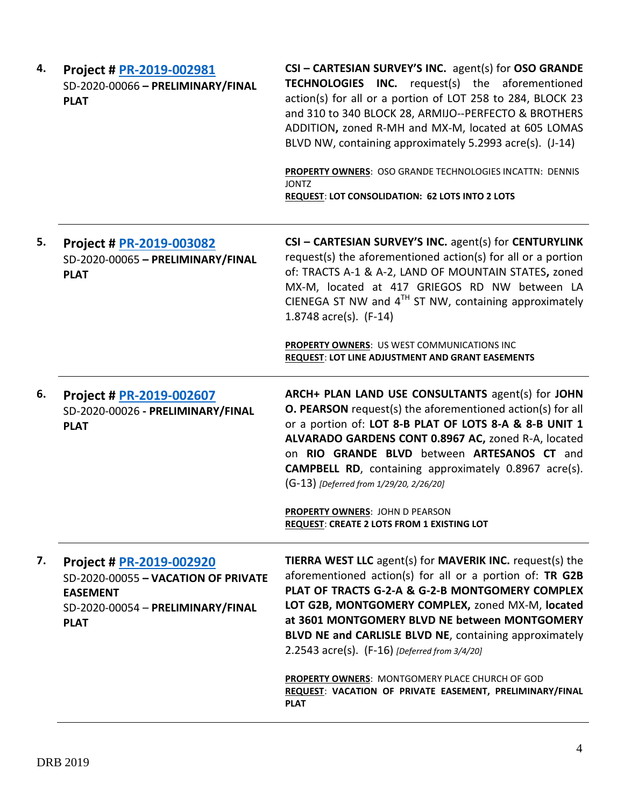| 4. | Project # PR-2019-002981<br>SD-2020-00066 - PRELIMINARY/FINAL<br><b>PLAT</b>                                                           | CSI - CARTESIAN SURVEY'S INC. agent(s) for OSO GRANDE<br><b>TECHNOLOGIES INC.</b> request(s) the aforementioned<br>action(s) for all or a portion of LOT 258 to 284, BLOCK 23<br>and 310 to 340 BLOCK 28, ARMIJO--PERFECTO & BROTHERS<br>ADDITION, zoned R-MH and MX-M, located at 605 LOMAS<br>BLVD NW, containing approximately 5.2993 acre(s). (J-14)<br>PROPERTY OWNERS: OSO GRANDE TECHNOLOGIES INCATTN: DENNIS |
|----|----------------------------------------------------------------------------------------------------------------------------------------|----------------------------------------------------------------------------------------------------------------------------------------------------------------------------------------------------------------------------------------------------------------------------------------------------------------------------------------------------------------------------------------------------------------------|
|    |                                                                                                                                        | <b>JONTZ</b><br><b>REQUEST: LOT CONSOLIDATION: 62 LOTS INTO 2 LOTS</b>                                                                                                                                                                                                                                                                                                                                               |
| 5. | Project # PR-2019-003082<br>SD-2020-00065 - PRELIMINARY/FINAL<br><b>PLAT</b>                                                           | CSI - CARTESIAN SURVEY'S INC. agent(s) for CENTURYLINK<br>request(s) the aforementioned action(s) for all or a portion<br>of: TRACTS A-1 & A-2, LAND OF MOUNTAIN STATES, zoned<br>MX-M, located at 417 GRIEGOS RD NW between LA<br>CIENEGA ST NW and $4TH$ ST NW, containing approximately<br>1.8748 $\arccos 1.8748$<br>PROPERTY OWNERS: US WEST COMMUNICATIONS INC                                                 |
|    |                                                                                                                                        | <b>REQUEST: LOT LINE ADJUSTMENT AND GRANT EASEMENTS</b>                                                                                                                                                                                                                                                                                                                                                              |
| 6. | Project # PR-2019-002607<br>SD-2020-00026 - PRELIMINARY/FINAL<br><b>PLAT</b>                                                           | ARCH+ PLAN LAND USE CONSULTANTS agent(s) for JOHN<br><b>O. PEARSON</b> request(s) the aforementioned action(s) for all<br>or a portion of: LOT 8-B PLAT OF LOTS 8-A & 8-B UNIT 1<br>ALVARADO GARDENS CONT 0.8967 AC, zoned R-A, located<br>on RIO GRANDE BLVD between ARTESANOS CT and<br><b>CAMPBELL RD</b> , containing approximately 0.8967 acre(s).<br>(G-13) [Deferred from 1/29/20, 2/26/20]                   |
|    |                                                                                                                                        | <b>PROPERTY OWNERS: JOHN D PEARSON</b><br>REQUEST: CREATE 2 LOTS FROM 1 EXISTING LOT                                                                                                                                                                                                                                                                                                                                 |
| 7. | Project # PR-2019-002920<br>SD-2020-00055 - VACATION OF PRIVATE<br><b>EASEMENT</b><br>SD-2020-00054 - PRELIMINARY/FINAL<br><b>PLAT</b> | <b>TIERRA WEST LLC</b> agent(s) for <b>MAVERIK INC.</b> request(s) the<br>aforementioned action(s) for all or a portion of: TR G2B<br>PLAT OF TRACTS G-2-A & G-2-B MONTGOMERY COMPLEX<br>LOT G2B, MONTGOMERY COMPLEX, zoned MX-M, located<br>at 3601 MONTGOMERY BLVD NE between MONTGOMERY<br>BLVD NE and CARLISLE BLVD NE, containing approximately<br>2.2543 acre(s). (F-16) [Deferred from 3/4/20]                |
|    |                                                                                                                                        | PROPERTY OWNERS: MONTGOMERY PLACE CHURCH OF GOD<br>REQUEST: VACATION OF PRIVATE EASEMENT, PRELIMINARY/FINAL<br><b>PLAT</b>                                                                                                                                                                                                                                                                                           |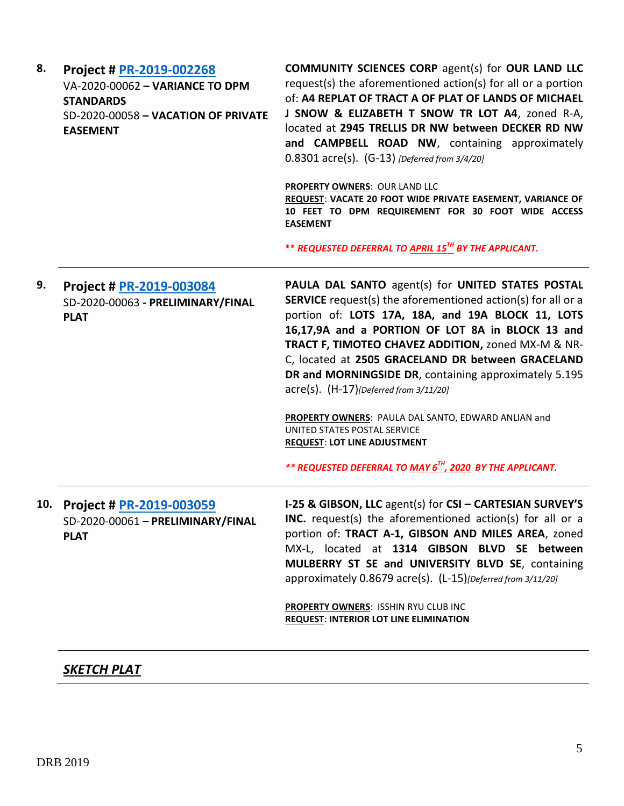| 8. | Project # PR-2019-002268<br>VA-2020-00062 - VARIANCE TO DPM<br><b>STANDARDS</b><br>SD-2020-00058 - VACATION OF PRIVATE<br><b>EASEMENT</b> | <b>COMMUNITY SCIENCES CORP agent(s) for OUR LAND LLC</b><br>request(s) the aforementioned action(s) for all or a portion<br>of: A4 REPLAT OF TRACT A OF PLAT OF LANDS OF MICHAEL<br>J SNOW & ELIZABETH T SNOW TR LOT A4, zoned R-A,<br>located at 2945 TRELLIS DR NW between DECKER RD NW<br>and CAMPBELL ROAD NW, containing approximately<br>$0.8301$ acre(s). (G-13) [Deferred from 3/4/20]<br><b>PROPERTY OWNERS: OUR LAND LLC</b><br>REQUEST: VACATE 20 FOOT WIDE PRIVATE EASEMENT, VARIANCE OF<br>10 FEET TO DPM REQUIREMENT FOR 30 FOOT WIDE ACCESS<br><b>EASEMENT</b><br>** REQUESTED DEFERRAL TO APRIL 15 <sup>TH</sup> BY THE APPLICANT.                  |
|----|-------------------------------------------------------------------------------------------------------------------------------------------|---------------------------------------------------------------------------------------------------------------------------------------------------------------------------------------------------------------------------------------------------------------------------------------------------------------------------------------------------------------------------------------------------------------------------------------------------------------------------------------------------------------------------------------------------------------------------------------------------------------------------------------------------------------------|
| 9. | Project # PR-2019-003084<br>SD-2020-00063 - PRELIMINARY/FINAL<br><b>PLAT</b>                                                              | PAULA DAL SANTO agent(s) for UNITED STATES POSTAL<br><b>SERVICE</b> request(s) the aforementioned action(s) for all or a<br>portion of: LOTS 17A, 18A, and 19A BLOCK 11, LOTS<br>16,17,9A and a PORTION OF LOT 8A in BLOCK 13 and<br>TRACT F, TIMOTEO CHAVEZ ADDITION, zoned MX-M & NR-<br>C, located at 2505 GRACELAND DR between GRACELAND<br>DR and MORNINGSIDE DR, containing approximately 5.195<br>$\text{acre}(s)$ . $(H-17)$ [Deferred from 3/11/20]<br>PROPERTY OWNERS: PAULA DAL SANTO, EDWARD ANLIAN and<br>UNITED STATES POSTAL SERVICE<br><b>REQUEST: LOT LINE ADJUSTMENT</b><br>** REQUESTED DEFERRAL TO MAY 6 <sup>TH</sup> , 2020 BY THE APPLICANT. |
|    | 10. Project # PR-2019-003059<br>SD-2020-00061 - PRELIMINARY/FINAL<br><b>PLAT</b>                                                          | I-25 & GIBSON, LLC agent(s) for CSI - CARTESIAN SURVEY'S<br>INC. request(s) the aforementioned action(s) for all or a<br>portion of: TRACT A-1, GIBSON AND MILES AREA, zoned<br>MX-L, located at 1314 GIBSON BLVD SE between<br>MULBERRY ST SE and UNIVERSITY BLVD SE, containing<br>approximately 0.8679 acre(s). (L-15) [Deferred from 3/11/20]<br>PROPERTY OWNERS: ISSHIN RYU CLUB INC<br><b>REQUEST: INTERIOR LOT LINE ELIMINATION</b>                                                                                                                                                                                                                          |

# *SKETCH PLAT*